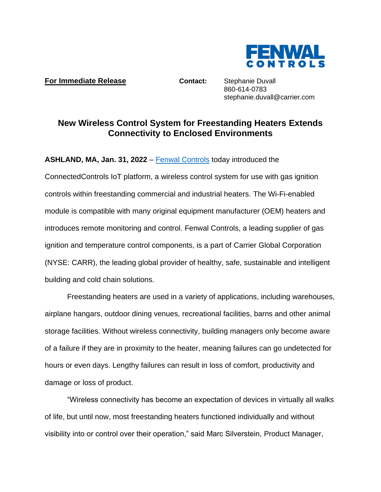

**For Immediate Release <b>Contact:** Stephanie Duvall

860-614-0783 stephanie.duvall@carrier.com

## **New Wireless Control System for Freestanding Heaters Extends Connectivity to Enclosed Environments**

**ASHLAND, MA, Jan. 31, 2022** – [Fenwal Controls](https://www.kidde-fenwal.com/Public/Fenwalcontrols) today introduced the

ConnectedControls IoT platform, a wireless control system for use with gas ignition controls within freestanding commercial and industrial heaters. The Wi-Fi-enabled module is compatible with many original equipment manufacturer (OEM) heaters and introduces remote monitoring and control. Fenwal Controls, a leading supplier of gas ignition and temperature control components, is a part of Carrier Global Corporation (NYSE: CARR), the leading global provider of healthy, safe, sustainable and intelligent building and cold chain solutions.

Freestanding heaters are used in a variety of applications, including warehouses, airplane hangars, outdoor dining venues, recreational facilities, barns and other animal storage facilities. Without wireless connectivity, building managers only become aware of a failure if they are in proximity to the heater, meaning failures can go undetected for hours or even days. Lengthy failures can result in loss of comfort, productivity and damage or loss of product.

"Wireless connectivity has become an expectation of devices in virtually all walks of life, but until now, most freestanding heaters functioned individually and without visibility into or control over their operation," said Marc Silverstein, Product Manager,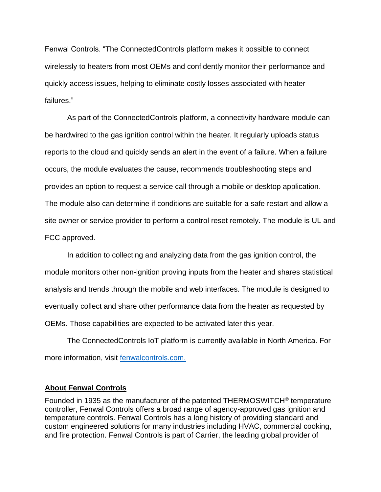Fenwal Controls. "The ConnectedControls platform makes it possible to connect wirelessly to heaters from most OEMs and confidently monitor their performance and quickly access issues, helping to eliminate costly losses associated with heater failures."

As part of the ConnectedControls platform, a connectivity hardware module can be hardwired to the gas ignition control within the heater. It regularly uploads status reports to the cloud and quickly sends an alert in the event of a failure. When a failure occurs, the module evaluates the cause, recommends troubleshooting steps and provides an option to request a service call through a mobile or desktop application. The module also can determine if conditions are suitable for a safe restart and allow a site owner or service provider to perform a control reset remotely. The module is UL and FCC approved.

In addition to collecting and analyzing data from the gas ignition control, the module monitors other non-ignition proving inputs from the heater and shares statistical analysis and trends through the mobile and web interfaces. The module is designed to eventually collect and share other performance data from the heater as requested by OEMs. Those capabilities are expected to be activated later this year.

The ConnectedControls IoT platform is currently available in North America. For more information, visit [fenwalcontrols.com.](https://www.kidde-fenwal.com/Public/Fenwalcontrols)

## **About Fenwal Controls**

Founded in 1935 as the manufacturer of the patented THERMOSWITCH® temperature controller, Fenwal Controls offers a broad range of agency-approved gas ignition and temperature controls. Fenwal Controls has a long history of providing standard and custom engineered solutions for many industries including HVAC, commercial cooking, and fire protection. Fenwal Controls is part of Carrier, the leading global provider of